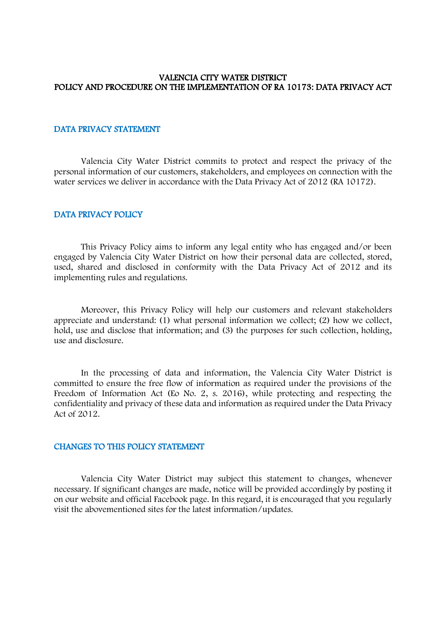#### VALENCIA CITY WATER DISTRICT POLICY AND PROCEDURE ON THE IMPLEMENTATION OF RA 10173: DATA PRIVACY ACT

## DATA PRIVACY STATEMENT

 Valencia City Water District commits to protect and respect the privacy of the personal information of our customers, stakeholders, and employees on connection with the water services we deliver in accordance with the Data Privacy Act of 2012 (RA 10172).

#### DATA PRIVACY POLICY

This Privacy Policy aims to inform any legal entity who has engaged and/or been engaged by Valencia City Water District on how their personal data are collected, stored, used, shared and disclosed in conformity with the Data Privacy Act of 2012 and its implementing rules and regulations.

Moreover, this Privacy Policy will help our customers and relevant stakeholders appreciate and understand: (1) what personal information we collect; (2) how we collect, hold, use and disclose that information; and (3) the purposes for such collection, holding, use and disclosure.

In the processing of data and information, the Valencia City Water District is committed to ensure the free flow of information as required under the provisions of the Freedom of Information Act (Eo No. 2, s. 2016), while protecting and respecting the confidentiality and privacy of these data and information as required under the Data Privacy Act of 2012.

#### CHANGES TO THIS POLICY STATEMENT

 Valencia City Water District may subject this statement to changes, whenever necessary. If significant changes are made, notice will be provided accordingly by posting it on our website and official Facebook page. In this regard, it is encouraged that you regularly visit the abovementioned sites for the latest information/updates.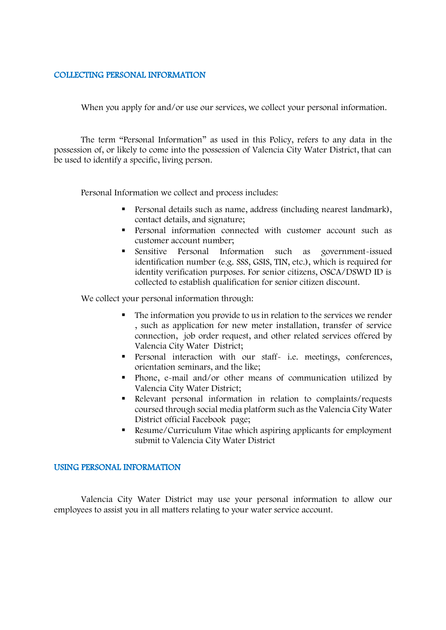## COLLECTING PERSONAL INFORMATION

When you apply for and/or use our services, we collect your personal information.

The term "Personal Information" as used in this Policy, refers to any data in the possession of, or likely to come into the possession of Valencia City Water District, that can be used to identify a specific, living person.

Personal Information we collect and process includes:

- Personal details such as name, address (including nearest landmark), contact details, and signature;
- Personal information connected with customer account such as customer account number;
- Sensitive Personal Information such as government-issued identification number (e.g. SSS, GSIS, TIN, etc.), which is required for identity verification purposes. For senior citizens, OSCA/DSWD ID is collected to establish qualification for senior citizen discount.

We collect your personal information through:

- The information you provide to us in relation to the services we render , such as application for new meter installation, transfer of service connection, job order request, and other related services offered by Valencia City Water District;
- **Personal interaction with our staff- i.e. meetings, conferences,** orientation seminars, and the like;
- Phone, e-mail and/or other means of communication utilized by Valencia City Water District;
- Relevant personal information in relation to complaints/requests coursed through social media platform such as the Valencia City Water District official Facebook page;
- Resume/Curriculum Vitae which aspiring applicants for employment submit to Valencia City Water District

### USING PERSONAL INFORMATION

Valencia City Water District may use your personal information to allow our employees to assist you in all matters relating to your water service account.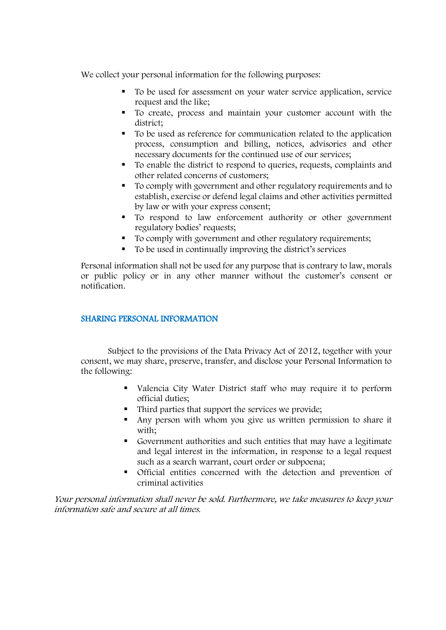We collect your personal information for the following purposes:

- To be used for assessment on your water service application, service request and the like;
- To create, process and maintain your customer account with the district;
- To be used as reference for communication related to the application process, consumption and billing, notices, advisories and other necessary documents for the continued use of our services;
- To enable the district to respond to queries, requests, complaints and other related concerns of customers;
- To comply with government and other regulatory requirements and to establish, exercise or defend legal claims and other activities permitted by law or with your express consent;
- $\blacksquare$  To respond to law enforcement authority or other government regulatory bodies' requests;
- To comply with government and other regulatory requirements;
- To be used in continually improving the district's services

Personal information shall not be used for any purpose that is contrary to law, morals or public policy or in any other manner without the customer's consent or notification.

## SHARING PERSONAL INFORMATION

Subject to the provisions of the Data Privacy Act of 2012, together with your consent, we may share, preserve, transfer, and disclose your Personal Information to the following:

- Valencia City Water District staff who may require it to perform official duties;
- Third parties that support the services we provide;
- Any person with whom you give us written permission to share it with;
- Government authorities and such entities that may have a legitimate and legal interest in the information, in response to a legal request such as a search warrant, court order or subpoena;
- Official entities concerned with the detection and prevention of criminal activities

Your personal information shall never be sold. Furthermore, we take measures to keep your information safe and secure at all times.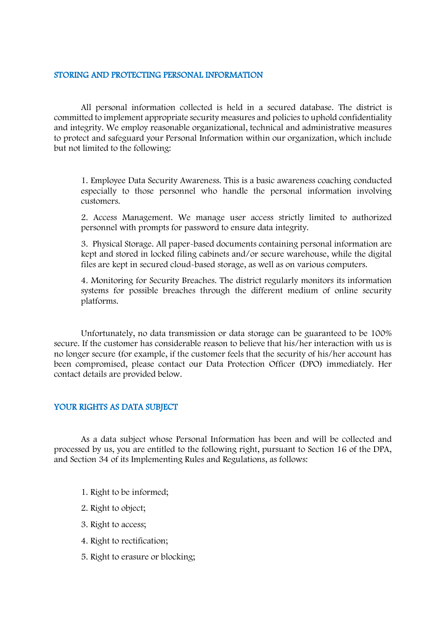#### STORING AND PROTECTING PERSONAL INFORMATION

 All personal information collected is held in a secured database. The district is committed to implement appropriate security measures and policies to uphold confidentiality and integrity. We employ reasonable organizational, technical and administrative measures to protect and safeguard your Personal Information within our organization, which include but not limited to the following:

1. Employee Data Security Awareness. This is a basic awareness coaching conducted especially to those personnel who handle the personal information involving customers.

2. Access Management. We manage user access strictly limited to authorized personnel with prompts for password to ensure data integrity.

3. Physical Storage. All paper-based documents containing personal information are kept and stored in locked filing cabinets and/or secure warehouse, while the digital files are kept in secured cloud-based storage, as well as on various computers.

4. Monitoring for Security Breaches. The district regularly monitors its information systems for possible breaches through the different medium of online security platforms.

Unfortunately, no data transmission or data storage can be guaranteed to be 100% secure. If the customer has considerable reason to believe that his/her interaction with us is no longer secure (for example, if the customer feels that the security of his/her account has been compromised, please contact our Data Protection Officer (DPO) immediately. Her contact details are provided below.

## YOUR RIGHTS AS DATA SUBJECT

 As a data subject whose Personal Information has been and will be collected and processed by us, you are entitled to the following right, pursuant to Section 16 of the DPA, and Section 34 of its Implementing Rules and Regulations, as follows:

- 1. Right to be informed;
- 2. Right to object;
- 3. Right to access;
- 4. Right to rectification;
- 5. Right to erasure or blocking;